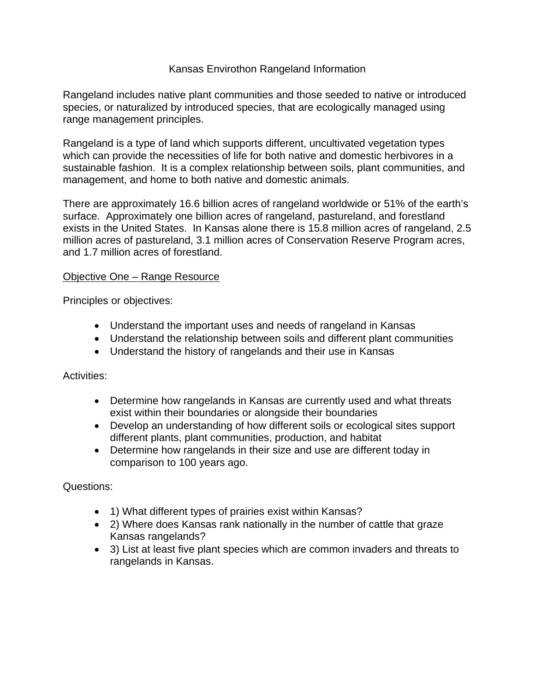## Kansas Envirothon Rangeland Information

Rangeland includes native plant communities and those seeded to native or introduced species, or naturalized by introduced species, that are ecologically managed using range management principles.

Rangeland is a type of land which supports different, uncultivated vegetation types which can provide the necessities of life for both native and domestic herbivores in a sustainable fashion. It is a complex relationship between soils, plant communities, and management, and home to both native and domestic animals.

There are approximately 16.6 billion acres of rangeland worldwide or 51% of the earth's surface. Approximately one billion acres of rangeland, pastureland, and forestland exists in the United States. In Kansas alone there is 15.8 million acres of rangeland, 2.5 million acres of pastureland, 3.1 million acres of Conservation Reserve Program acres, and 1.7 million acres of forestland.

### Objective One – Range Resource

Principles or objectives:

- Understand the important uses and needs of rangeland in Kansas
- Understand the relationship between soils and different plant communities
- Understand the history of rangelands and their use in Kansas

Activities:

- Determine how rangelands in Kansas are currently used and what threats exist within their boundaries or alongside their boundaries
- Develop an understanding of how different soils or ecological sites support different plants, plant communities, production, and habitat
- Determine how rangelands in their size and use are different today in comparison to 100 years ago.

Questions:

- 1) What different types of prairies exist within Kansas?
- 2) Where does Kansas rank nationally in the number of cattle that graze Kansas rangelands?
- 3) List at least five plant species which are common invaders and threats to rangelands in Kansas.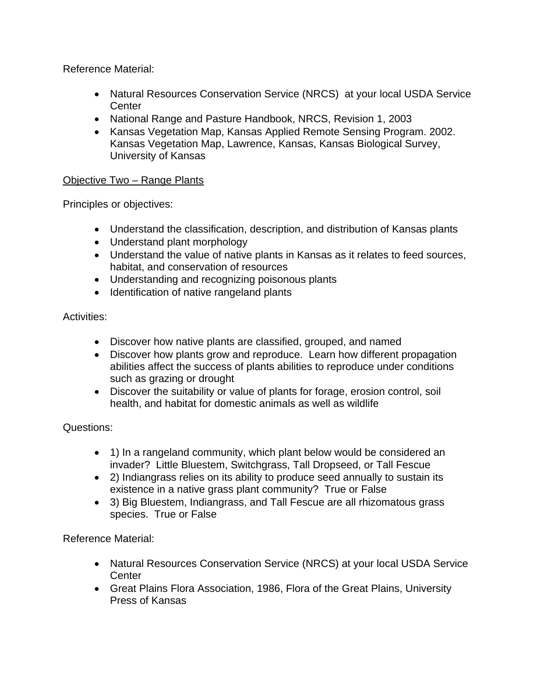Reference Material:

- Natural Resources Conservation Service (NRCS) at your local USDA Service **Center**
- National Range and Pasture Handbook, NRCS, Revision 1, 2003
- Kansas Vegetation Map, Kansas Applied Remote Sensing Program. 2002. Kansas Vegetation Map, Lawrence, Kansas, Kansas Biological Survey, University of Kansas

# Objective Two – Range Plants

Principles or objectives:

- Understand the classification, description, and distribution of Kansas plants
- Understand plant morphology
- Understand the value of native plants in Kansas as it relates to feed sources, habitat, and conservation of resources
- Understanding and recognizing poisonous plants
- Identification of native rangeland plants

Activities:

- Discover how native plants are classified, grouped, and named
- Discover how plants grow and reproduce. Learn how different propagation abilities affect the success of plants abilities to reproduce under conditions such as grazing or drought
- Discover the suitability or value of plants for forage, erosion control, soil health, and habitat for domestic animals as well as wildlife

Questions:

- 1) In a rangeland community, which plant below would be considered an invader? Little Bluestem, Switchgrass, Tall Dropseed, or Tall Fescue
- 2) Indiangrass relies on its ability to produce seed annually to sustain its existence in a native grass plant community? True or False
- 3) Big Bluestem, Indiangrass, and Tall Fescue are all rhizomatous grass species. True or False

Reference Material:

- Natural Resources Conservation Service (NRCS) at your local USDA Service **Center**
- Great Plains Flora Association, 1986, Flora of the Great Plains, University Press of Kansas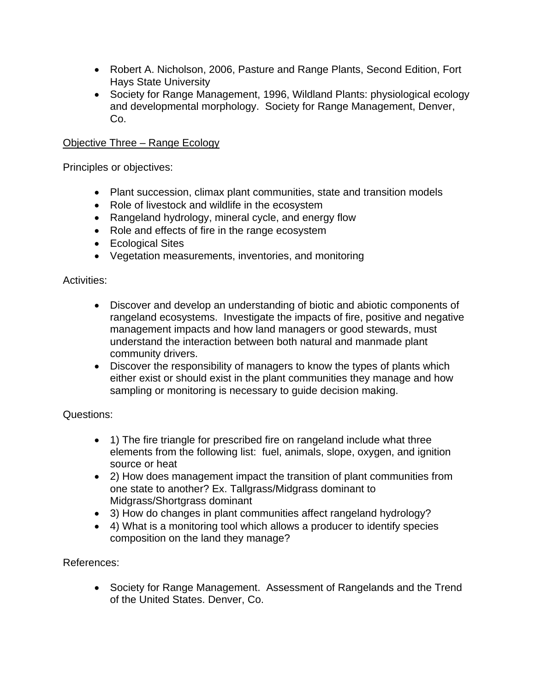- Robert A. Nicholson, 2006, Pasture and Range Plants, Second Edition, Fort Hays State University
- Society for Range Management, 1996, Wildland Plants: physiological ecology and developmental morphology. Society for Range Management, Denver, Co.

# Objective Three – Range Ecology

Principles or objectives:

- Plant succession, climax plant communities, state and transition models
- Role of livestock and wildlife in the ecosystem
- Rangeland hydrology, mineral cycle, and energy flow
- Role and effects of fire in the range ecosystem
- Ecological Sites
- Vegetation measurements, inventories, and monitoring

#### Activities:

- Discover and develop an understanding of biotic and abiotic components of rangeland ecosystems. Investigate the impacts of fire, positive and negative management impacts and how land managers or good stewards, must understand the interaction between both natural and manmade plant community drivers.
- Discover the responsibility of managers to know the types of plants which either exist or should exist in the plant communities they manage and how sampling or monitoring is necessary to guide decision making.

### Questions:

- 1) The fire triangle for prescribed fire on rangeland include what three elements from the following list: fuel, animals, slope, oxygen, and ignition source or heat
- 2) How does management impact the transition of plant communities from one state to another? Ex. Tallgrass/Midgrass dominant to Midgrass/Shortgrass dominant
- 3) How do changes in plant communities affect rangeland hydrology?
- 4) What is a monitoring tool which allows a producer to identify species composition on the land they manage?

### References:

 Society for Range Management. Assessment of Rangelands and the Trend of the United States. Denver, Co.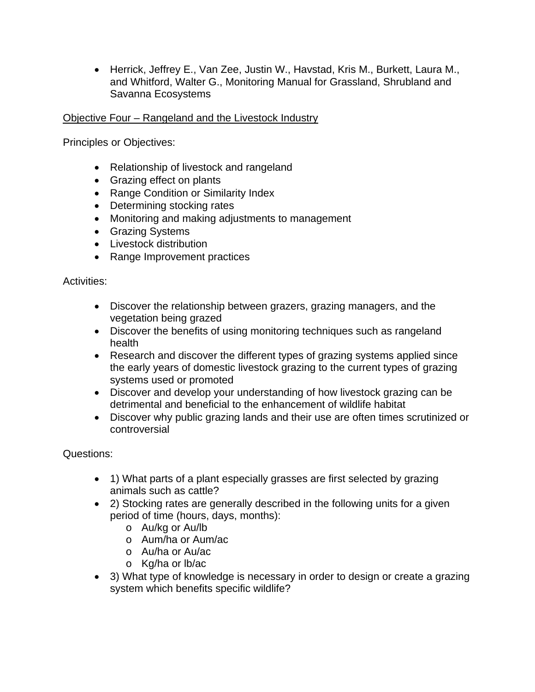Herrick, Jeffrey E., Van Zee, Justin W., Havstad, Kris M., Burkett, Laura M., and Whitford, Walter G., Monitoring Manual for Grassland, Shrubland and Savanna Ecosystems

Objective Four – Rangeland and the Livestock Industry

Principles or Objectives:

- Relationship of livestock and rangeland
- Grazing effect on plants
- Range Condition or Similarity Index
- Determining stocking rates
- Monitoring and making adjustments to management
- **•** Grazing Systems
- Livestock distribution
- Range Improvement practices

### Activities:

- Discover the relationship between grazers, grazing managers, and the vegetation being grazed
- Discover the benefits of using monitoring techniques such as rangeland health
- Research and discover the different types of grazing systems applied since the early years of domestic livestock grazing to the current types of grazing systems used or promoted
- Discover and develop your understanding of how livestock grazing can be detrimental and beneficial to the enhancement of wildlife habitat
- Discover why public grazing lands and their use are often times scrutinized or controversial

### Questions:

- 1) What parts of a plant especially grasses are first selected by grazing animals such as cattle?
- 2) Stocking rates are generally described in the following units for a given period of time (hours, days, months):
	- o Au/kg or Au/lb
	- o Aum/ha or Aum/ac
	- o Au/ha or Au/ac
	- o Kg/ha or lb/ac
- 3) What type of knowledge is necessary in order to design or create a grazing system which benefits specific wildlife?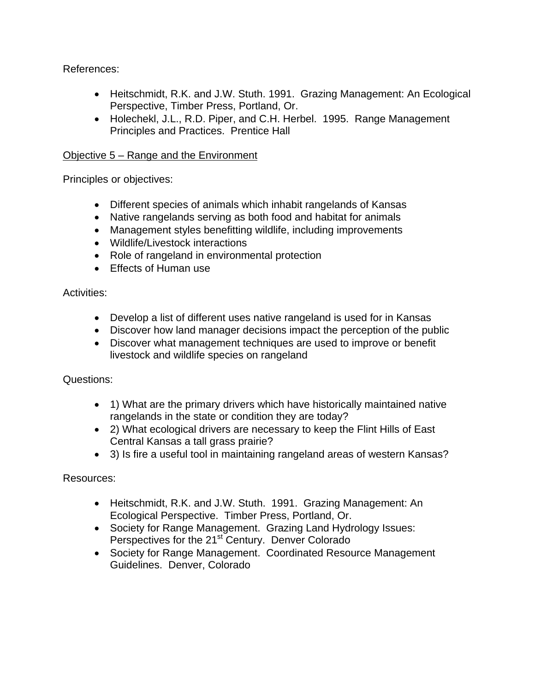References:

- Heitschmidt, R.K. and J.W. Stuth. 1991. Grazing Management: An Ecological Perspective, Timber Press, Portland, Or.
- Holechekl, J.L., R.D. Piper, and C.H. Herbel. 1995. Range Management Principles and Practices. Prentice Hall

## Objective 5 – Range and the Environment

Principles or objectives:

- Different species of animals which inhabit rangelands of Kansas
- Native rangelands serving as both food and habitat for animals
- Management styles benefitting wildlife, including improvements
- Wildlife/Livestock interactions
- Role of rangeland in environmental protection
- Effects of Human use

Activities:

- Develop a list of different uses native rangeland is used for in Kansas
- Discover how land manager decisions impact the perception of the public
- Discover what management techniques are used to improve or benefit livestock and wildlife species on rangeland

Questions:

- 1) What are the primary drivers which have historically maintained native rangelands in the state or condition they are today?
- 2) What ecological drivers are necessary to keep the Flint Hills of East Central Kansas a tall grass prairie?
- 3) Is fire a useful tool in maintaining rangeland areas of western Kansas?

Resources:

- Heitschmidt, R.K. and J.W. Stuth. 1991. Grazing Management: An Ecological Perspective. Timber Press, Portland, Or.
- Society for Range Management. Grazing Land Hydrology Issues: Perspectives for the 21<sup>st</sup> Century. Denver Colorado
- Society for Range Management. Coordinated Resource Management Guidelines. Denver, Colorado